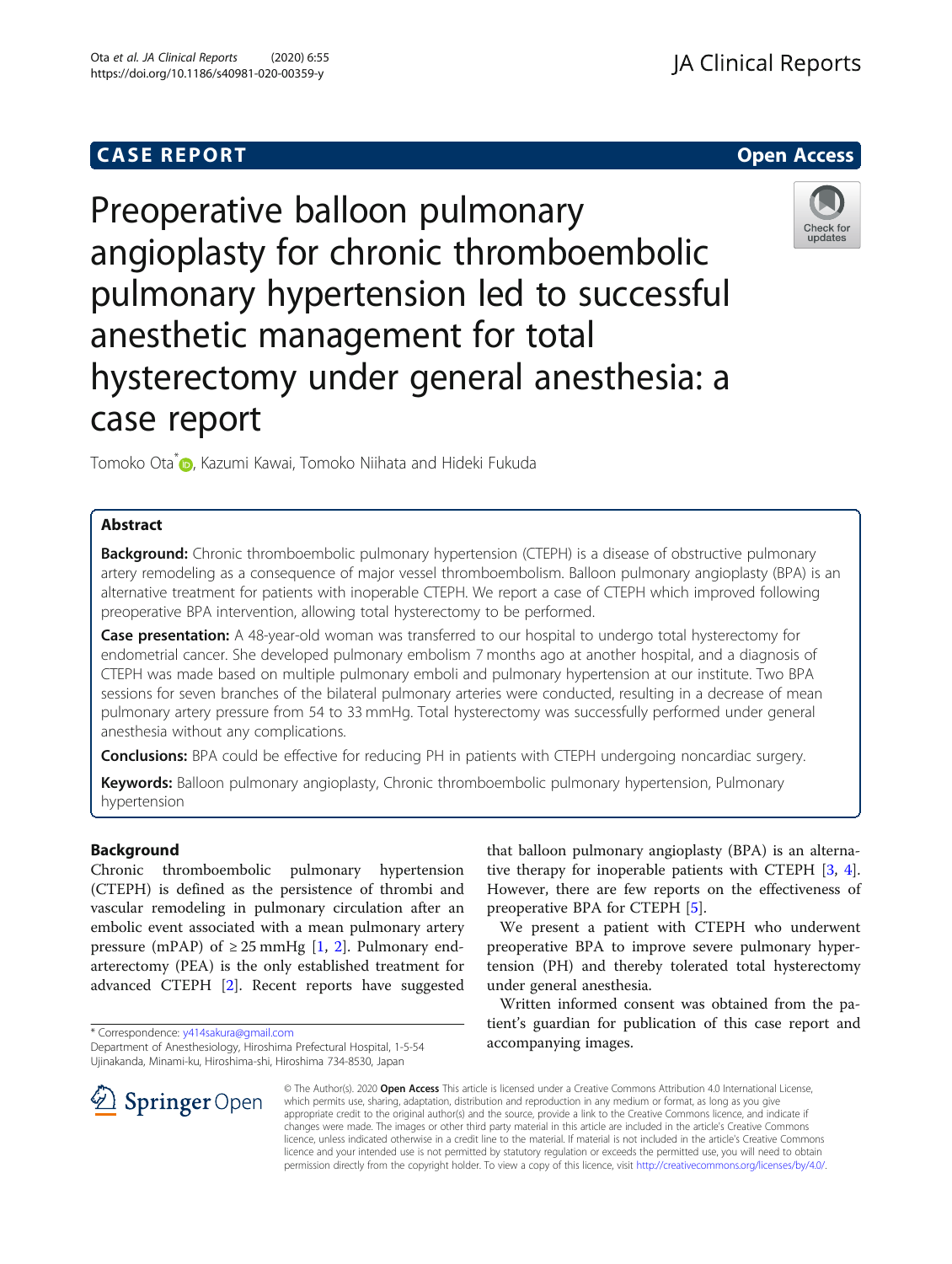## **CASE REPORT CASE REPORT CASE REPORT**



# Preoperative balloon pulmonary angioplasty for chronic thromboembolic pulmonary hypertension led to successful anesthetic management for total hysterectomy under general anesthesia: a case report



Tomoko Ota<sup>\*</sup> D[,](http://orcid.org/0000-0002-3759-9657) Kazumi Kawai, Tomoko Niihata and Hideki Fukuda

## Abstract

**Background:** Chronic thromboembolic pulmonary hypertension (CTEPH) is a disease of obstructive pulmonary artery remodeling as a consequence of major vessel thromboembolism. Balloon pulmonary angioplasty (BPA) is an alternative treatment for patients with inoperable CTEPH. We report a case of CTEPH which improved following preoperative BPA intervention, allowing total hysterectomy to be performed.

Case presentation: A 48-year-old woman was transferred to our hospital to undergo total hysterectomy for endometrial cancer. She developed pulmonary embolism 7 months ago at another hospital, and a diagnosis of CTEPH was made based on multiple pulmonary emboli and pulmonary hypertension at our institute. Two BPA sessions for seven branches of the bilateral pulmonary arteries were conducted, resulting in a decrease of mean pulmonary artery pressure from 54 to 33 mmHg. Total hysterectomy was successfully performed under general anesthesia without any complications.

**Conclusions:** BPA could be effective for reducing PH in patients with CTEPH undergoing noncardiac surgery.

Keywords: Balloon pulmonary angioplasty, Chronic thromboembolic pulmonary hypertension, Pulmonary hypertension

### Background

Chronic thromboembolic pulmonary hypertension (CTEPH) is defined as the persistence of thrombi and vascular remodeling in pulmonary circulation after an embolic event associated with a mean pulmonary artery pressure (mPAP) of  $\geq$  25 mmHg [\[1](#page-3-0), [2](#page-3-0)]. Pulmonary endarterectomy (PEA) is the only established treatment for advanced CTEPH [[2](#page-3-0)]. Recent reports have suggested



We present a patient with CTEPH who underwent preoperative BPA to improve severe pulmonary hypertension (PH) and thereby tolerated total hysterectomy under general anesthesia.

Written informed consent was obtained from the patient's guardian for publication of this case report and accompanying images.



© The Author(s). 2020 Open Access This article is licensed under a Creative Commons Attribution 4.0 International License, which permits use, sharing, adaptation, distribution and reproduction in any medium or format, as long as you give appropriate credit to the original author(s) and the source, provide a link to the Creative Commons licence, and indicate if changes were made. The images or other third party material in this article are included in the article's Creative Commons licence, unless indicated otherwise in a credit line to the material. If material is not included in the article's Creative Commons licence and your intended use is not permitted by statutory regulation or exceeds the permitted use, you will need to obtain permission directly from the copyright holder. To view a copy of this licence, visit <http://creativecommons.org/licenses/by/4.0/>.

<sup>\*</sup> Correspondence: [y414sakura@gmail.com](mailto:y414sakura@gmail.com)

Department of Anesthesiology, Hiroshima Prefectural Hospital, 1-5-54 Ujinakanda, Minami-ku, Hiroshima-shi, Hiroshima 734-8530, Japan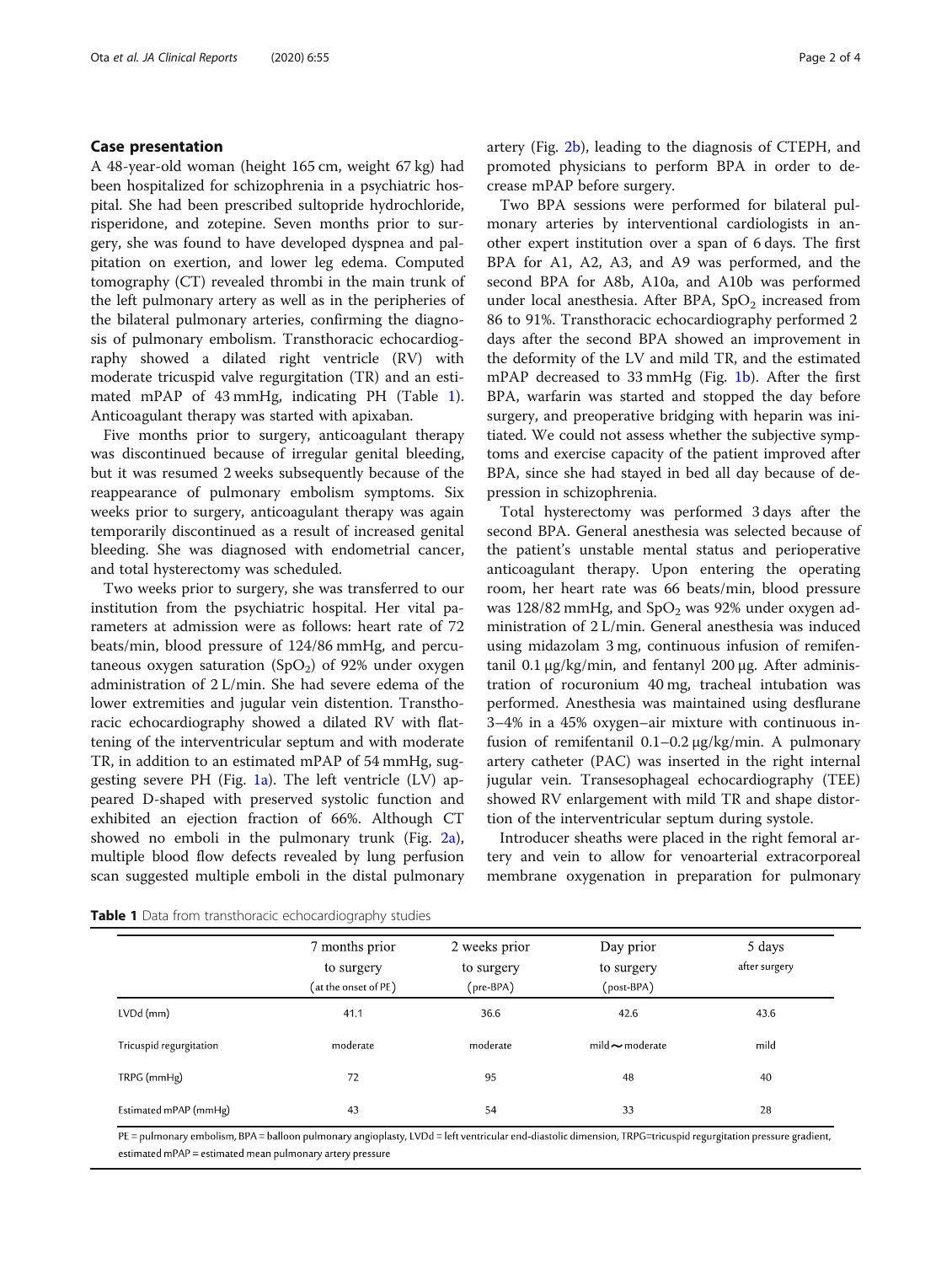#### <span id="page-1-0"></span>Case presentation

A 48-year-old woman (height 165 cm, weight 67 kg) had been hospitalized for schizophrenia in a psychiatric hospital. She had been prescribed sultopride hydrochloride, risperidone, and zotepine. Seven months prior to surgery, she was found to have developed dyspnea and palpitation on exertion, and lower leg edema. Computed tomography (CT) revealed thrombi in the main trunk of the left pulmonary artery as well as in the peripheries of the bilateral pulmonary arteries, confirming the diagnosis of pulmonary embolism. Transthoracic echocardiography showed a dilated right ventricle (RV) with moderate tricuspid valve regurgitation (TR) and an estimated mPAP of 43 mmHg, indicating PH (Table 1). Anticoagulant therapy was started with apixaban.

Five months prior to surgery, anticoagulant therapy was discontinued because of irregular genital bleeding, but it was resumed 2 weeks subsequently because of the reappearance of pulmonary embolism symptoms. Six weeks prior to surgery, anticoagulant therapy was again temporarily discontinued as a result of increased genital bleeding. She was diagnosed with endometrial cancer, and total hysterectomy was scheduled.

Two weeks prior to surgery, she was transferred to our institution from the psychiatric hospital. Her vital parameters at admission were as follows: heart rate of 72 beats/min, blood pressure of 124/86 mmHg, and percutaneous oxygen saturation  $(SpO<sub>2</sub>)$  of 92% under oxygen administration of 2 L/min. She had severe edema of the lower extremities and jugular vein distention. Transthoracic echocardiography showed a dilated RV with flattening of the interventricular septum and with moderate TR, in addition to an estimated mPAP of 54 mmHg, sug-gesting severe PH (Fig. [1a\)](#page-2-0). The left ventricle  $(LV)$  appeared D-shaped with preserved systolic function and exhibited an ejection fraction of 66%. Although CT showed no emboli in the pulmonary trunk (Fig. [2a](#page-2-0)), multiple blood flow defects revealed by lung perfusion scan suggested multiple emboli in the distal pulmonary artery (Fig. [2b](#page-2-0)), leading to the diagnosis of CTEPH, and promoted physicians to perform BPA in order to decrease mPAP before surgery.

Two BPA sessions were performed for bilateral pulmonary arteries by interventional cardiologists in another expert institution over a span of 6 days. The first BPA for A1, A2, A3, and A9 was performed, and the second BPA for A8b, A10a, and A10b was performed under local anesthesia. After BPA,  $SpO<sub>2</sub>$  increased from 86 to 91%. Transthoracic echocardiography performed 2 days after the second BPA showed an improvement in the deformity of the LV and mild TR, and the estimated mPAP decreased to 33 mmHg (Fig. [1b\)](#page-2-0). After the first BPA, warfarin was started and stopped the day before surgery, and preoperative bridging with heparin was initiated. We could not assess whether the subjective symptoms and exercise capacity of the patient improved after BPA, since she had stayed in bed all day because of depression in schizophrenia.

Total hysterectomy was performed 3 days after the second BPA. General anesthesia was selected because of the patient's unstable mental status and perioperative anticoagulant therapy. Upon entering the operating room, her heart rate was 66 beats/min, blood pressure was 128/82 mmHg, and  $SpO<sub>2</sub>$  was 92% under oxygen administration of 2 L/min. General anesthesia was induced using midazolam 3 mg, continuous infusion of remifentanil 0.1 μg/kg/min, and fentanyl 200 μg. After administration of rocuronium 40 mg, tracheal intubation was performed. Anesthesia was maintained using desflurane 3–4% in a 45% oxygen–air mixture with continuous infusion of remifentanil 0.1–0.2 μg/kg/min. A pulmonary artery catheter (PAC) was inserted in the right internal jugular vein. Transesophageal echocardiography (TEE) showed RV enlargement with mild TR and shape distortion of the interventricular septum during systole.

Introducer sheaths were placed in the right femoral artery and vein to allow for venoarterial extracorporeal membrane oxygenation in preparation for pulmonary

|                         | 7 months prior<br>to surgery<br>(at the onset of PE) | 2 weeks prior<br>to surgery<br>(pre-BPA) | Day prior<br>to surgery<br>(post-BPA) | 5 days<br>after surgery |
|-------------------------|------------------------------------------------------|------------------------------------------|---------------------------------------|-------------------------|
| LVDd (mm)               | 41.1                                                 | 36.6                                     | 42.6                                  | 43.6                    |
| Tricuspid regurgitation | moderate                                             | moderate                                 | mild $\sim$ moderate                  | mild                    |
| TRPG (mmHg)             | 72                                                   | 95                                       | 48                                    | 40                      |
| Estimated mPAP (mmHg)   | 43                                                   | 54                                       | 33                                    | 28                      |

**Table 1** Data from transthoracic echocardiography studies

PE = pulmonary embolism, BPA = balloon pulmonary angioplasty, LVDd = left ventricular end-diastolic dimension, TRPG=tricuspid regurgitation pressure gradient, estimated mPAP = estimated mean pulmonary artery pressure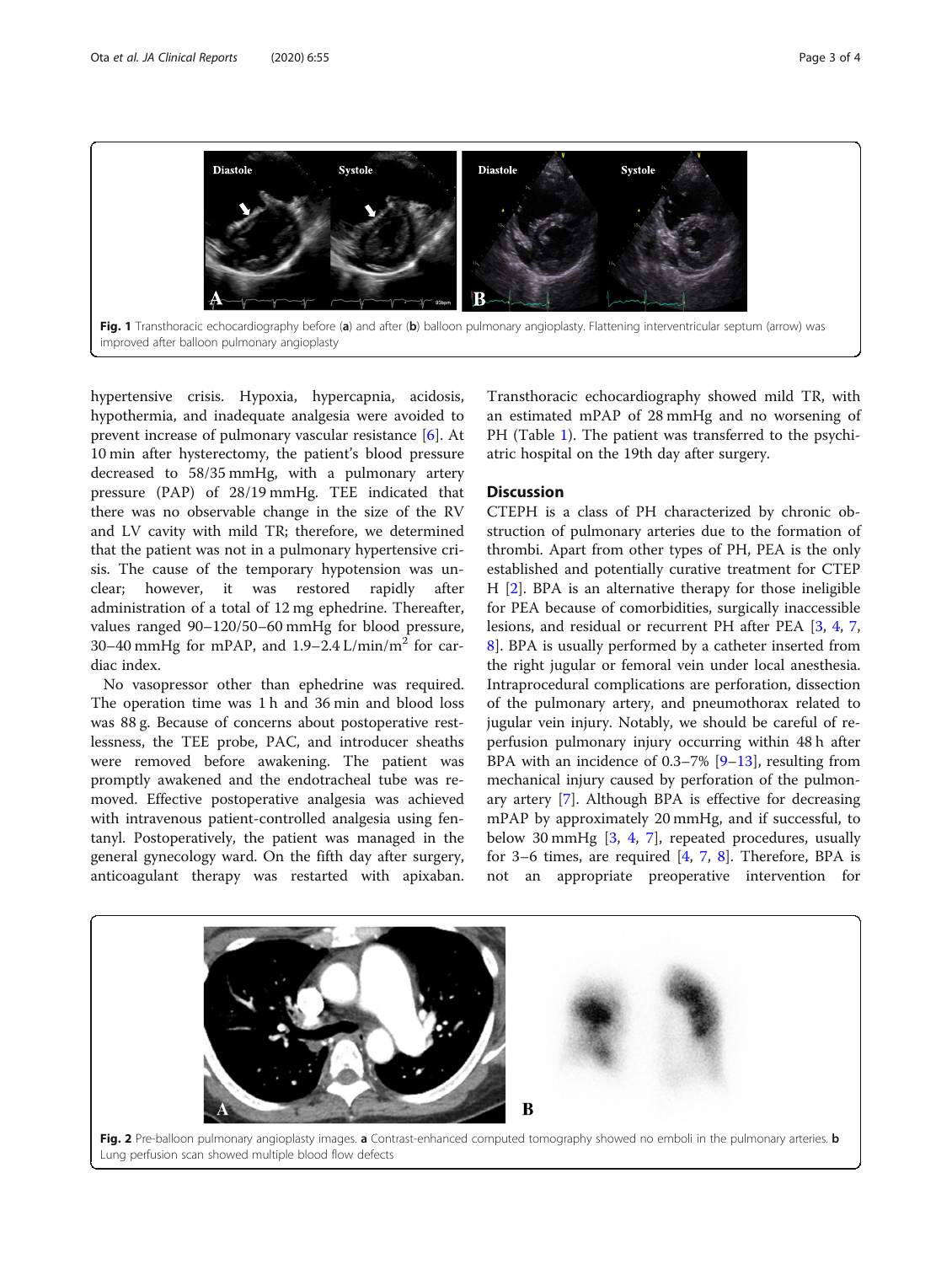<span id="page-2-0"></span>

hypertensive crisis. Hypoxia, hypercapnia, acidosis, hypothermia, and inadequate analgesia were avoided to prevent increase of pulmonary vascular resistance [\[6](#page-3-0)]. At 10 min after hysterectomy, the patient's blood pressure decreased to 58/35 mmHg, with a pulmonary artery pressure (PAP) of 28/19 mmHg. TEE indicated that there was no observable change in the size of the RV and LV cavity with mild TR; therefore, we determined that the patient was not in a pulmonary hypertensive crisis. The cause of the temporary hypotension was unclear; however, it was restored rapidly after administration of a total of 12 mg ephedrine. Thereafter, values ranged 90–120/50–60 mmHg for blood pressure, 30–40 mmHg for mPAP, and  $1.9-2.4$  L/min/m<sup>2</sup> for cardiac index.

No vasopressor other than ephedrine was required. The operation time was 1 h and 36 min and blood loss was 88 g. Because of concerns about postoperative restlessness, the TEE probe, PAC, and introducer sheaths were removed before awakening. The patient was promptly awakened and the endotracheal tube was removed. Effective postoperative analgesia was achieved with intravenous patient-controlled analgesia using fentanyl. Postoperatively, the patient was managed in the general gynecology ward. On the fifth day after surgery, anticoagulant therapy was restarted with apixaban.

Transthoracic echocardiography showed mild TR, with an estimated mPAP of 28 mmHg and no worsening of PH (Table [1](#page-1-0)). The patient was transferred to the psychiatric hospital on the 19th day after surgery.

#### **Discussion**

CTEPH is a class of PH characterized by chronic obstruction of pulmonary arteries due to the formation of thrombi. Apart from other types of PH, PEA is the only established and potentially curative treatment for CTEP H [\[2](#page-3-0)]. BPA is an alternative therapy for those ineligible for PEA because of comorbidities, surgically inaccessible lesions, and residual or recurrent PH after PEA [\[3](#page-3-0), [4,](#page-3-0) [7](#page-3-0), [8\]](#page-3-0). BPA is usually performed by a catheter inserted from the right jugular or femoral vein under local anesthesia. Intraprocedural complications are perforation, dissection of the pulmonary artery, and pneumothorax related to jugular vein injury. Notably, we should be careful of reperfusion pulmonary injury occurring within 48 h after BPA with an incidence of  $0.3-7\%$  [\[9](#page-3-0)-[13](#page-3-0)], resulting from mechanical injury caused by perforation of the pulmonary artery [\[7](#page-3-0)]. Although BPA is effective for decreasing mPAP by approximately 20 mmHg, and if successful, to below 30 mmHg  $[3, 4, 7]$  $[3, 4, 7]$  $[3, 4, 7]$  $[3, 4, 7]$  $[3, 4, 7]$  $[3, 4, 7]$ , repeated procedures, usually for 3–6 times, are required [[4,](#page-3-0) [7,](#page-3-0) [8\]](#page-3-0). Therefore, BPA is not an appropriate preoperative intervention for